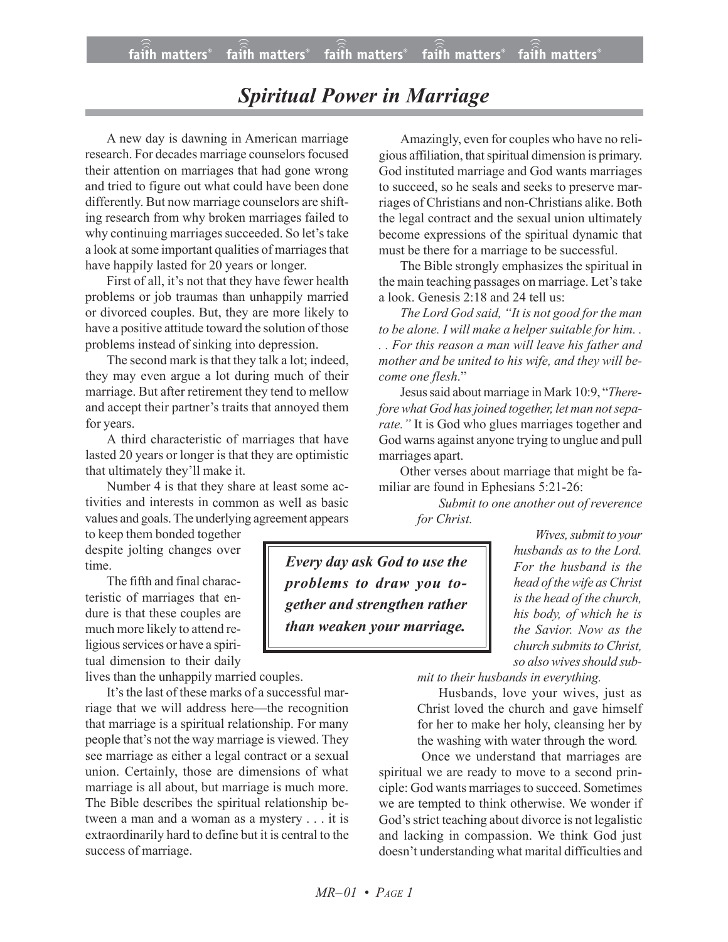## *Spiritual Power in Marriage*

A new day is dawning in American marriage research. For decades marriage counselors focused their attention on marriages that had gone wrong and tried to figure out what could have been done differently. But now marriage counselors are shifting research from why broken marriages failed to why continuing marriages succeeded. So let's take a look at some important qualities of marriages that have happily lasted for 20 years or longer.

First of all, it's not that they have fewer health problems or job traumas than unhappily married or divorced couples. But, they are more likely to have a positive attitude toward the solution of those problems instead of sinking into depression.

The second mark is that they talk a lot; indeed, they may even argue a lot during much of their marriage. But after retirement they tend to mellow and accept their partner's traits that annoyed them for years.

A third characteristic of marriages that have lasted 20 years or longer is that they are optimistic that ultimately they'll make it.

Number 4 is that they share at least some activities and interests in common as well as basic values and goals.The underlying agreement appears

to keep them bonded together despite jolting changes over time.

The fifth and final characteristic of marriages that endure is that these couples are much more likely to attend religious services or have a spiritual dimension to their daily

lives than the unhappily married couples.

It's the last of these marks of a successful marriage that we will address here—the recognition that marriage is a spiritual relationship. For many people that's not the way marriage is viewed. They see marriage as either a legal contract or a sexual union. Certainly, those are dimensions of what marriage is all about, but marriage is much more. The Bible describes the spiritual relationship between a man and a woman as a mystery . . . it is extraordinarily hard to define but it is central to the success of marriage.

Amazingly, even for couples who have no religious affiliation, that spiritual dimension is primary. God instituted marriage and God wants marriages to succeed, so he seals and seeks to preserve marriages of Christians and non-Christians alike. Both the legal contract and the sexual union ultimately become expressions of the spiritual dynamic that must be there for a marriage to be successful.

The Bible strongly emphasizes the spiritual in the main teaching passages on marriage. Let's take a look. Genesis 2:18 and 24 tell us:

*The Lord God said, "It is not good for the man to be alone. I will make a helper suitable for him. . . . For this reason a man will leave his father and mother and be united to his wife, and they will become one flesh*."

Jesus said about marriage in Mark 10:9, "*Therefore what God hasjoined together, let man notseparate."* It is God who glues marriages together and God warns against anyone trying to unglue and pull marriages apart.

Other verses about marriage that might be familiar are found in Ephesians 5:21-26:

> *Submit to one another out of reverence for Christ.*

*Every day ask God to use the problems to draw you together and strengthen rather than weaken your marriage.*

*Wives, submit to your husbands as to the Lord. For the husband is the head of thewife asChrist is the head of the church, his body, of which he is the Savior. Now as the*  $church$  *submits to Christ, so also wives should sub-*

*mit to their husbands in everything.*

Husbands, love your wives, just as Christ loved the church and gave himself for her to make her holy, cleansing her by the washing with water through the word*.*

Once we understand that marriages are spiritual we are ready to move to a second principle: God wants marriages to succeed. Sometimes we are tempted to think otherwise. We wonder if God's strict teaching about divorce is not legalistic and lacking in compassion. We think God just doesn't understanding what marital difficulties and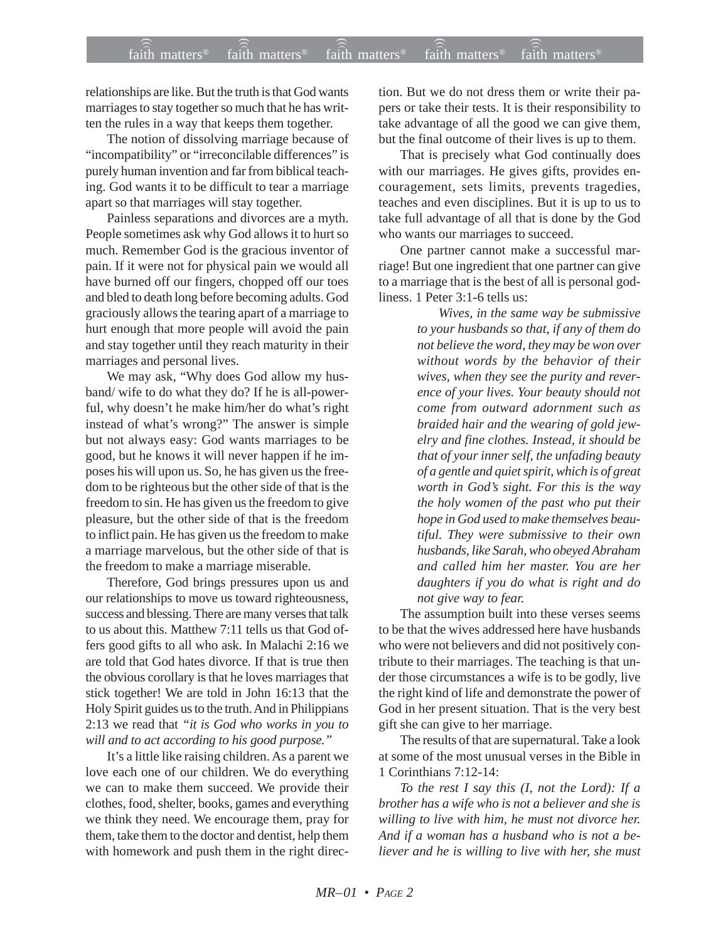relationships are like. But the truth is that God wants marriages to stay together so much that he has written the rules in a way that keeps them together.

The notion of dissolving marriage because of "incompatibility" or "irreconcilable differences" is purely human invention and far from biblical teaching. God wants it to be difficult to tear a marriage apart so that marriages will stay together.

Painless separations and divorces are a myth. People sometimes ask why God allows it to hurt so much. Remember God is the gracious inventor of pain. If it were not for physical pain we would all have burned off our fingers, chopped off our toes and bled to death long before becoming adults. God graciously allows the tearing apart of a marriage to hurt enough that more people will avoid the pain and stay together until they reach maturity in their marriages and personal lives.

We may ask, "Why does God allow my husband/ wife to do what they do? If he is all-powerful, why doesn't he make him/her do what's right instead of what's wrong?" The answer is simple but not always easy: God wants marriages to be good, but he knows it will never happen if he imposes his will upon us. So, he has given us the freedom to be righteous but the other side of that is the freedom to sin. He has given us the freedom to give pleasure, but the other side of that is the freedom to inflict pain. He has given us the freedom to make a marriage marvelous, but the other side of that is the freedom to make a marriage miserable.

Therefore, God brings pressures upon us and our relationships to move us toward righteousness, success and blessing. There are many verses that talk to us about this. Matthew 7:11 tells us that God offers good gifts to all who ask. In Malachi 2:16 we are told that God hates divorce. If that is true then the obvious corollary is that he loves marriages that stick together! We are told in John 16:13 that the Holy Spirit guides us to the truth. And in Philippians 2:13 we read that *"it is God who works in you to will and to act according to his good purpose."*

It's a little like raising children. As a parent we love each one of our children. We do everything we can to make them succeed. We provide their clothes, food, shelter, books, games and everything we think they need. We encourage them, pray for them, take them to the doctor and dentist, help them with homework and push them in the right direction. But we do not dress them or write their papers or take their tests. It is their responsibility to take advantage of all the good we can give them, but the final outcome of their lives is up to them.

That is precisely what God continually does with our marriages. He gives gifts, provides encouragement, sets limits, prevents tragedies, teaches and even disciplines. But it is up to us to take full advantage of all that is done by the God who wants our marriages to succeed.

One partner cannot make a successful marriage! But one ingredient that one partner can give to a marriage that is the best of all is personal godliness. 1 Peter 3:1-6 tells us:

> *Wives, in the same way be submissive to your husbands so that, if any of them do not believe the word, they may be won over without words by the behavior of their wives, when they see the purity and reverence of your lives. Your beauty should not come from outward adornment such as braided hair and the wearing of gold jewelry and fine clothes. Instead, it should be that of your inner self, the unfading beauty of a gentle and quiet spirit, which is of great worth in God's sight. For this is the way the holy women of the past who put their hope in God used to make themselves beautiful. They were submissive to their own husbands, like Sarah, who obeyed Abraham and called him her master. You are her daughters if you do what is right and do not give way to fear.*

The assumption built into these verses seems to be that the wives addressed here have husbands who were not believers and did not positively contribute to their marriages. The teaching is that under those circumstances a wife is to be godly, live the right kind of life and demonstrate the power of God in her present situation. That is the very best gift she can give to her marriage.

The results of that are supernatural. Take a look at some of the most unusual verses in the Bible in 1 Corinthians 7:12-14:

*To the rest I say this (I, not the Lord): If a brother has a wife who is not a believer and she is willing to live with him, he must not divorce her. And if a woman has a husband who is not a believer and he is willing to live with her, she must*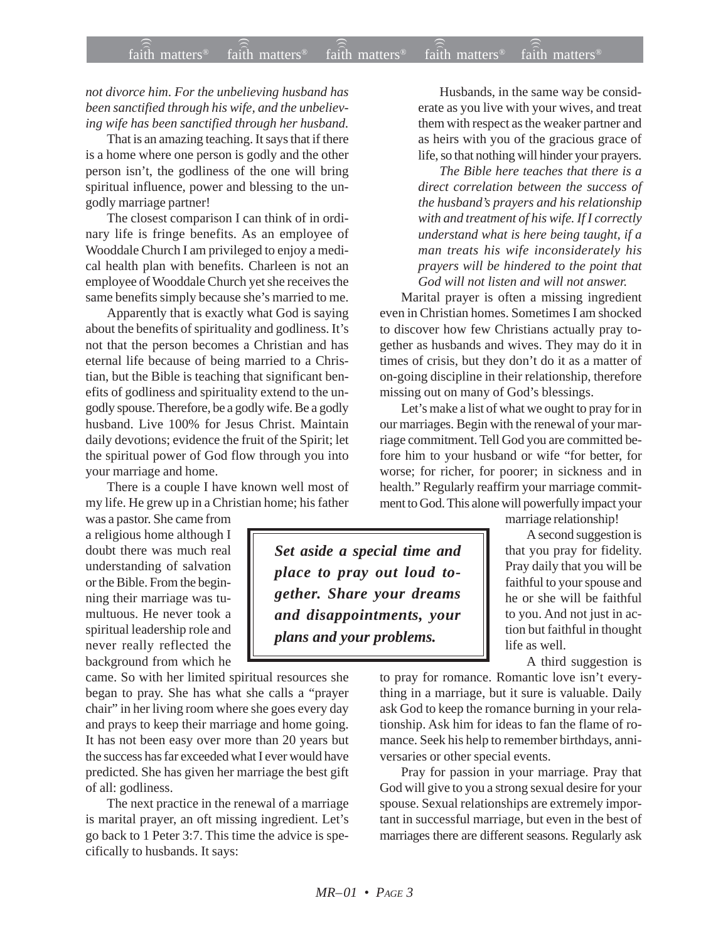## *not divorce him*. *For the unbelieving husband has been sanctified through his wife, and the unbelieving wife has been sanctified through her husband.*

That is an amazing teaching. It says that if there is a home where one person is godly and the other person isn't, the godliness of the one will bring spiritual influence, power and blessing to the ungodly marriage partner!

The closest comparison I can think of in ordinary life is fringe benefits. As an employee of Wooddale Church I am privileged to enjoy a medical health plan with benefits. Charleen is not an employee of Wooddale Church yet she receives the same benefits simply because she's married to me.

Apparently that is exactly what God is saying about the benefits of spirituality and godliness. It's not that the person becomes a Christian and has eternal life because of being married to a Christian, but the Bible is teaching that significant benefits of godliness and spirituality extend to the ungodly spouse. Therefore, be a godly wife. Be a godly husband. Live 100% for Jesus Christ. Maintain daily devotions; evidence the fruit of the Spirit; let the spiritual power of God flow through you into your marriage and home.

There is a couple I have known well most of my life. He grew up in a Christian home; his father

was a pastor. She came from a religious home although I doubt there was much real understanding of salvation or the Bible. From the beginning their marriage was tumultuous. He never took a spiritual leadership role and never really reflected the background from which he

came. So with her limited spiritual resources she began to pray. She has what she calls a "prayer chair" in her living room where she goes every day and prays to keep their marriage and home going. It has not been easy over more than 20 years but the success has far exceeded what I ever would have predicted. She has given her marriage the best gift of all: godliness.

The next practice in the renewal of a marriage is marital prayer, an oft missing ingredient. Let's go back to 1 Peter 3:7. This time the advice is specifically to husbands. It says:

Husbands, in the same way be considerate as you live with your wives, and treat them with respect as the weaker partner and as heirs with you of the gracious grace of life, so that nothing will hinder your prayers*.*

*The Bible here teaches that there is a direct correlation between the success of the husband's prayers and his relationship with and treatment of his wife. If I correctly understand what is here being taught, if a man treats his wife inconsiderately his prayers will be hindered to the point that God will not listen and will not answer.*

Marital prayer is often a missing ingredient even in Christian homes. Sometimes I am shocked to discover how few Christians actually pray together as husbands and wives. They may do it in times of crisis, but they don't do it as a matter of on-going discipline in their relationship, therefore missing out on many of God's blessings.

Let's make a list of what we ought to pray for in our marriages. Begin with the renewal of your marriage commitment. Tell God you are committed before him to your husband or wife "for better, for worse; for richer, for poorer; in sickness and in health." Regularly reaffirm your marriage commitment to God. This alone will powerfully impact your

marriage relationship!

A second suggestion is that you pray for fidelity. Pray daily that you will be faithful to your spouse and he or she will be faithful to you. And not just in action but faithful in thought life as well.

A third suggestion is

to pray for romance. Romantic love isn't everything in a marriage, but it sure is valuable. Daily ask God to keep the romance burning in your relationship. Ask him for ideas to fan the flame of romance. Seek his help to remember birthdays, anniversaries or other special events.

Pray for passion in your marriage. Pray that God will give to you a strong sexual desire for your spouse. Sexual relationships are extremely important in successful marriage, but even in the best of marriages there are different seasons. Regularly ask

*Set aside a special time and place to pray out loud together. Share your dreams and disappointments, your plans and your problems.*